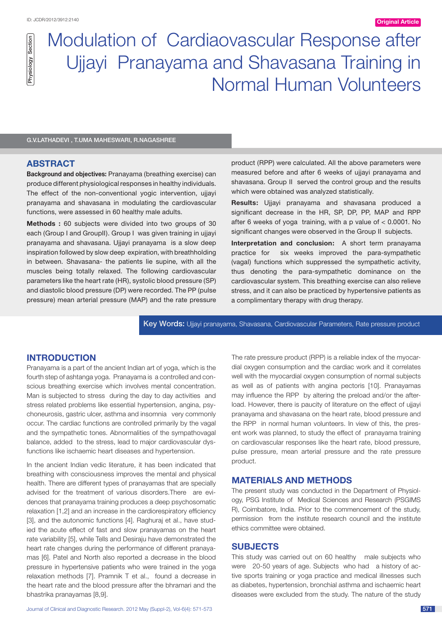# Modulation of Cardiaovascular Response after Ujjayi Pranayama and Shavasana Training in Normal Human Volunteers Graphage Modulation of C<br>Basi<br>G.V.LATHADEVI , T.UMA MAHESWARI, R.NAGASHREE

#### **ABSTRACT**

**Background and objectives:** Pranayama (breathing exercise) can produce different physiological responses in healthy individuals. The effect of the non-conventional vogic intervention, ujiavi pranayama and shavasana in modulating the cardiovascular functions, were assessed in 60 healthy male adults.

**Methods :** 60 subjects were divided into two groups of 30 each (Group I and GroupII). Group I was given training in ujjavi pranayama and shavasana. Ujjayi pranayama is a slow deep inspiration followed by slow deep expiration, with breathholding in between. Shavasana- the patients lie supine, with all the muscles being totally relaxed. The following cardiovascular parameters like the heart rate (HR), systolic blood pressure (SP) and diastolic blood pressure (DP) were recorded. The PP (pulse pressure) mean arterial pressure (MAP) and the rate pressure

product (RPP) were calculated. All the above parameters were measured before and after 6 weeks of ujjayi pranayama and shavasana. Group II served the control group and the results which were obtained was analyzed statistically.

**Results:** Ujjayi pranayama and shavasana produced a significant decrease in the HR, SP, DP, PP, MAP and RPP after 6 weeks of yoga training, with a p value of < 0.0001. No significant changes were observed in the Group II subjects.

**Interpretation and conclusion:** A short term pranayama practice for six weeks improved the para-sympathetic (vagal) functions which suppressed the sympathetic activity, thus denoting the para-sympathetic dominance on the cardiovascular system. This breathing exercise can also relieve stress, and it can also be practiced by hypertensive patients as a complimentary therapy with drug therapy.

Key Words: Ujjayi pranayama, Shavasana, Cardiovascular Parameters, Rate pressure product

# **Introduction**

Pranayama is a part of the ancient Indian art of yoga, which is the fourth step of ashtanga yoga. Pranayama is a controlled and conscious breathing exercise which involves mental concentration. Man is subjected to stress during the day to day activities and stress related problems like essential hypertension, angina, psychoneurosis, gastric ulcer, asthma and insomnia very commonly occur. The cardiac functions are controlled primarily by the vagal and the sympathetic tones. Abnormalities of the sympathovagal balance, added to the stress, lead to major cardiovascular dysfunctions like ischaemic heart diseases and hypertension.

In the ancient Indian vedic literature, it has been indicated that breathing with consciousness improves the mental and physical health. There are different types of pranayamas that are specially advised for the treatment of various disorders.There are evidences that pranayama training produces a deep psychosomatic relaxation [1,2] and an increase in the cardiorespiratory efficiency [3], and the autonomic functions [4]. Raghuraj et al., have studied the acute effect of fast and slow pranayamas on the heart rate variability [5], while Tells and Desiraju have demonstrated the heart rate changes during the performance of different pranayamas [6]. Patel and North also reported a decrease in the blood pressure in hypertensive patients who were trained in the yoga relaxation methods [7]. Pramnik T et al., found a decrease in the heart rate and the blood pressure after the bhramari and the bhastrika pranayamas [8,9].

Journal of Clinical and Diagnostic Research. 2012 May (Suppl-2), Vol-6(4): 571-573 571-573

The rate pressure product (RPP) is a reliable index of the myocardial oxygen consumption and the cardiac work and it correlates well with the myocardial oxygen consumption of normal subjects as well as of patients with angina pectoris [10]. Pranayamas may influence the RPP by altering the preload and/or the afterload. However, there is paucity of literature on the effect of ujjayi pranayama and shavasana on the heart rate, blood pressure and the RPP in normal human volunteers. In view of this, the present work was planned, to study the effect of pranayama training on cardiovascular responses like the heart rate, blood pressure, pulse pressure, mean arterial pressure and the rate pressure product.

#### **Materials and Methods**

The present study was conducted in the Department of Physiology, PSG Institute of Medical Sciences and Research (PSGIMS R), Coimbatore, India. Prior to the commencement of the study, permission from the institute research council and the institute ethics committee were obtained.

#### **Subjects**

This study was carried out on 60 healthy male subjects who were 20-50 years of age. Subjects who had a history of active sports training or yoga practice and medical illnesses such as diabetes, hypertension, bronchial asthma and ischaemic heart diseases were excluded from the study. The nature of the study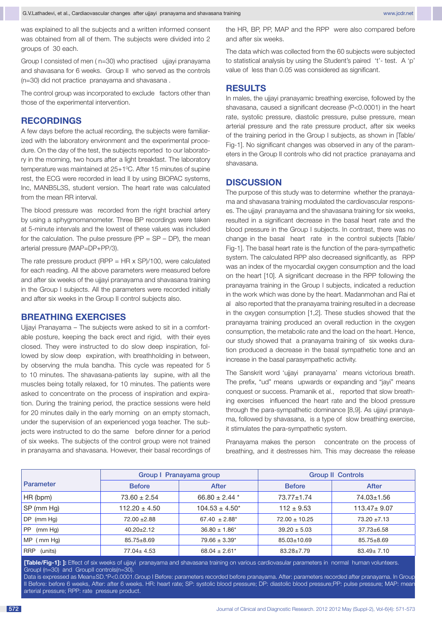was explained to all the subjects and a written informed consent **(2) (3)** was obtained from all of them. The subjects were divided into 2 groups of 30 each.

Group I consisted of men ( n=30) who practised ujjayi pranayama and shavasana for 6 weeks. Group II who served as the controls (n=30) did not practice pranayama and shavasana .

The control group was incorporated to exclude factors other than those of the experimental intervention.

## **Recordings**

A few days before the actual recording, the subjects were familiarized with the laboratory environment and the experimental procedure. On the day of the test, the subjects reported to our laboratory in the morning, two hours after a light breakfast. The laboratory temperature was maintained at 25+1°C. After 15 minutes of supine rest, the ECG were recorded in lead II by using BIOPAC systems, Inc, MANB5L3S, student version. The heart rate was calculated from the mean RR interval.

The blood pressure was recorded from the right brachial artery by using a sphygmomanometer. Three BP recordings were taken at 5-minute intervals and the lowest of these values was included for the calculation. The pulse pressure ( $PP = SP - DP$ ), the mean arterial pressure (MAP=DP+PP/3).

The rate pressure product (RPP =  $HR \times SP$ )/100, were calculated for each reading. All the above parameters were measured before and after six weeks of the ujjayi pranayama and shavasana training in the Group I subjects. All the parameters were recorded initially and after six weeks in the Group II control subjects also.

#### **Breathing exercises**

Ujjayi Pranayama – The subjects were asked to sit in a comfortable posture, keeping the back erect and rigid, with their eyes closed. They were instructed to do slow deep inspiration, followed by slow deep expiration, with breathholding in between, by observing the mula bandha. This cycle was repeated for 5 to 10 minutes. The shavasana-patients lay supine, with all the muscles being totally relaxed, for 10 minutes. The patients were asked to concentrate on the process of inspiration and expiration. During the training period, the practice sessions were held for 20 minutes daily in the early morning on an empty stomach, under the supervision of an experienced yoga teacher. The subjects were instructed to do the same before dinner for a period of six weeks. The subjects of the control group were not trained in pranayama and shavasana. However, their basal recordings of

the HR, BP, PP, MAP and the RPP were also compared before and after six weeks.

The data which was collected from the 60 subjects were subjected to statistical analysis by using the Student's paired 't'- test. A 'p' value of less than 0.05 was considered as significant.

#### **Results**

In males, the ujjayi pranayamic breathing exercise, followed by the shavasana, caused a significant decrease (P<0.0001) in the heart rate, systolic pressure, diastolic pressure, pulse pressure, mean arterial pressure and the rate pressure product, after six weeks of the training period in the Group I subjects, as shown in [Table/ Fig-1]. No significant changes was observed in any of the parameters in the Group II controls who did not practice pranayama and shavasana.

## **DISCUSSION**

The purpose of this study was to determine whether the pranayama and shavasana training modulated the cardiovascular responses. The ujjayi pranayama and the shavasana training for six weeks, resulted in a significant decrease in the basal heart rate and the blood pressure in the Group I subjects. In contrast, there was no change in the basal heart rate in the control subjects [Table/ Fig-1]. The basal heart rate is the function of the para-sympathetic system. The calculated RPP also decreased significantly, as RPP was an index of the myocardial oxygen consumption and the load on the heart [10]. A significant decrease in the RPP following the pranayama training in the Group I subjects, indicated a reduction in the work which was done by the heart. Madanmohan and Rai et al also reported that the pranayama training resulted in a decrease in the oxygen consumption [1,2]. These studies showed that the pranayama training produced an overall reduction in the oxygen consumption, the metabolic rate and the load on the heart. Hence, our study showed that a pranayama training of six weeks duration produced a decrease in the basal sympathetic tone and an increase in the basal parasympathetic activity.

The Sanskrit word 'ujjayi pranayama' means victorious breath. The prefix, "ud" means upwards or expanding and "jayi" means conquest or success. Pramanik et al., reported that slow breathing exercises influenced the heart rate and the blood pressure through the para-sympathetic dominance [8,9]. As ujjayi pranayama, followed by shavasana, is a type of slow breathing exercise, it stimulates the para-sympathetic system.

Pranayama makes the person concentrate on the process of breathing, and it destresses him. This may decrease the release

|                       | Group I Pranayama group |                               | <b>Group II Controls</b> |                   |
|-----------------------|-------------------------|-------------------------------|--------------------------|-------------------|
| <b>Parameter</b>      | <b>Before</b>           | After                         | <b>Before</b>            | <b>After</b>      |
| HR (bpm)              | $73.60 \pm 2.54$        | 66.80 $\pm$ 2.44 $*$          | $73.77 \pm 1.74$         | 74.03±1.56        |
| SP (mm Hg)            | $112.20 \pm 4.50$       | $104.53 \pm 4.50^*$           | $112 \pm 9.53$           | $113.47 \pm 9.07$ |
| $DP$ (mm Hg)          | $72.00 + 2.88$          | $67.40 \pm 2.88^*$            | $72.00 \pm 10.25$        | $73.20 \pm 7.13$  |
| <b>PP</b><br>(mm Hg)  | $40.20 \pm 2.12$        | $36.80 \pm 1.86^*$            | $39.20 \pm 5.03$         | $37.73 \pm 6.58$  |
| $MP$ (mm Hg)          | $85.75 \pm 8.69$        | $79.66 \pm 3.39^*$            | 85.03±10.69              | $85.75 \pm 8.69$  |
| <b>RRP</b><br>(units) | $77.04 \pm 4.53$        | $68.04 \pm 2.61$ <sup>*</sup> | 83.28±7.79               | $83.49 \pm 7.10$  |

**[Table/Fig-1]: ]:** Effect of six weeks of ujjayi pranayama and shavasana training on various cardiovasular parameters in normal human volunteers. GroupI (n=30) and GroupII controls(n=30).

 Data is expressed as Mean±SD.\*P<0.0001.Group I Before: parameters recorded before pranayama. After: parameters recorded after pranayama. In Group II Before: before 6 weeks, After: after 6 weeks. HR: heart rate; SP: systolic blood pressure; DP: diastolic blood pressure; PP: pulse pressure; MAP: mean arterial pressure; RPP: rate pressure product.